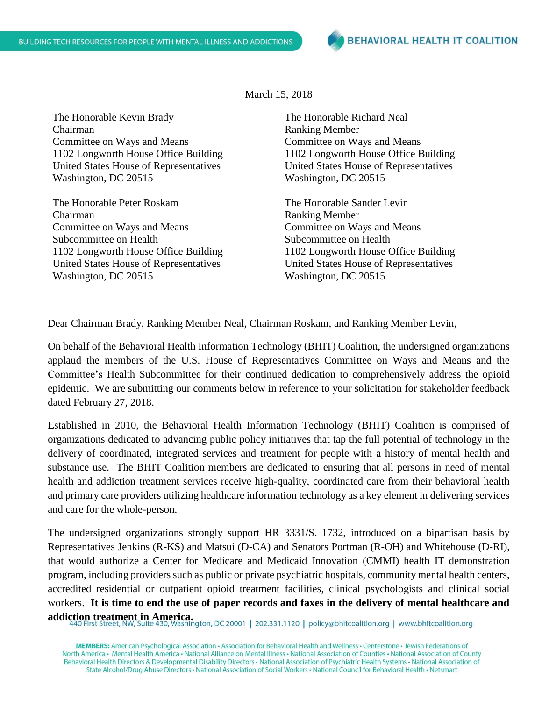March 15, 2018

The Honorable Kevin Brady Chairman Committee on Ways and Means 1102 Longworth House Office Building United States House of Representatives Washington, DC 20515

The Honorable Peter Roskam Chairman Committee on Ways and Means Subcommittee on Health 1102 Longworth House Office Building United States House of Representatives Washington, DC 20515

The Honorable Richard Neal Ranking Member Committee on Ways and Means 1102 Longworth House Office Building United States House of Representatives Washington, DC 20515

The Honorable Sander Levin Ranking Member Committee on Ways and Means Subcommittee on Health 1102 Longworth House Office Building United States House of Representatives Washington, DC 20515

Dear Chairman Brady, Ranking Member Neal, Chairman Roskam, and Ranking Member Levin,

On behalf of the Behavioral Health Information Technology (BHIT) Coalition, the undersigned organizations applaud the members of the U.S. House of Representatives Committee on Ways and Means and the Committee's Health Subcommittee for their continued dedication to comprehensively address the opioid epidemic. We are submitting our comments below in reference to your solicitation for stakeholder feedback dated February 27, 2018.

Established in 2010, the Behavioral Health Information Technology (BHIT) Coalition is comprised of organizations dedicated to advancing public policy initiatives that tap the full potential of technology in the delivery of coordinated, integrated services and treatment for people with a history of mental health and substance use. The BHIT Coalition members are dedicated to ensuring that all persons in need of mental health and addiction treatment services receive high-quality, coordinated care from their behavioral health and primary care providers utilizing healthcare information technology as a key element in delivering services and care for the whole-person.

The undersigned organizations strongly support HR 3331/S. 1732, introduced on a bipartisan basis by Representatives Jenkins (R-KS) and Matsui (D-CA) and Senators Portman (R-OH) and Whitehouse (D-RI), that would authorize a Center for Medicare and Medicaid Innovation (CMMI) health IT demonstration program, including providers such as public or private psychiatric hospitals, community mental health centers, accredited residential or outpatient opioid treatment facilities, clinical psychologists and clinical social workers. **It is time to end the use of paper records and faxes in the delivery of mental healthcare and** 

**addiction treatment in America.**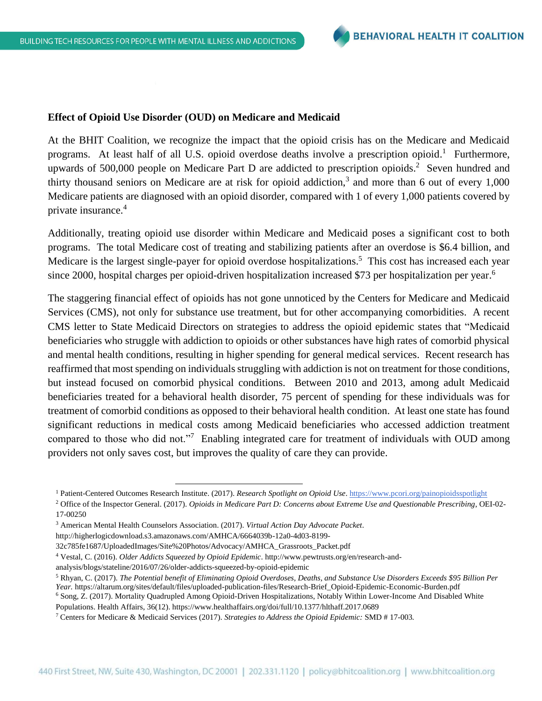#### **Effect of Opioid Use Disorder (OUD) on Medicare and Medicaid**

At the BHIT Coalition, we recognize the impact that the opioid crisis has on the Medicare and Medicaid programs. At least half of all U.S. opioid overdose deaths involve a prescription opioid.<sup>1</sup> Furthermore, upwards of 500,000 people on Medicare Part D are addicted to prescription opioids. 2 Seven hundred and thirty thousand seniors on Medicare are at risk for opioid addiction,<sup>3</sup> and more than 6 out of every  $1,000$ Medicare patients are diagnosed with an opioid disorder, compared with 1 of every 1,000 patients covered by private insurance. 4

Additionally, treating opioid use disorder within Medicare and Medicaid poses a significant cost to both programs. The total Medicare cost of treating and stabilizing patients after an overdose is \$6.4 billion, and Medicare is the largest single-payer for opioid overdose hospitalizations.<sup>5</sup> This cost has increased each year since 2000, hospital charges per opioid-driven hospitalization increased \$73 per hospitalization per year.<sup>6</sup>

The staggering financial effect of opioids has not gone unnoticed by the Centers for Medicare and Medicaid Services (CMS), not only for substance use treatment, but for other accompanying comorbidities. A recent CMS letter to State Medicaid Directors on strategies to address the opioid epidemic states that "Medicaid beneficiaries who struggle with addiction to opioids or other substances have high rates of comorbid physical and mental health conditions, resulting in higher spending for general medical services. Recent research has reaffirmed that most spending on individuals struggling with addiction is not on treatment for those conditions, but instead focused on comorbid physical conditions. Between 2010 and 2013, among adult Medicaid beneficiaries treated for a behavioral health disorder, 75 percent of spending for these individuals was for treatment of comorbid conditions as opposed to their behavioral health condition. At least one state has found significant reductions in medical costs among Medicaid beneficiaries who accessed addiction treatment compared to those who did not."<sup>7</sup> Enabling integrated care for treatment of individuals with OUD among providers not only saves cost, but improves the quality of care they can provide.

 $\overline{a}$ 

<sup>1</sup> Patient-Centered Outcomes Research Institute. (2017). *Research Spotlight on Opioid Use*.<https://www.pcori.org/painopioidsspotlight>

<sup>2</sup> Office of the Inspector General. (2017). *Opioids in Medicare Part D: Concerns about Extreme Use and Questionable Prescribing*, OEI-02- 17-00250

<sup>3</sup> American Mental Health Counselors Association. (2017). *Virtual Action Day Advocate Packet*.

http://higherlogicdownload.s3.amazonaws.com/AMHCA/6664039b-12a0-4d03-8199-

<sup>32</sup>c785fe1687/UploadedImages/Site%20Photos/Advocacy/AMHCA\_Grassroots\_Packet.pdf

<sup>4</sup> Vestal, C. (2016). *Older Addicts Squeezed by Opioid Epidemic*. http://www.pewtrusts.org/en/research-and-

analysis/blogs/stateline/2016/07/26/older-addicts-squeezed-by-opioid-epidemic

<sup>5</sup> Rhyan, C. (2017). *The Potential benefit of Eliminating Opioid Overdoses, Deaths, and Substance Use Disorders Exceeds \$95 Billion Per Year.* https://altarum.org/sites/default/files/uploaded-publication-files/Research-Brief\_Opioid-Epidemic-Economic-Burden.pdf

<sup>&</sup>lt;sup>6</sup> Song, Z. (2017). Mortality Quadrupled Among Opioid-Driven Hospitalizations, Notably Within Lower-Income And Disabled White Populations. Health Affairs, 36(12). https://www.healthaffairs.org/doi/full/10.1377/hlthaff.2017.0689

<sup>7</sup> Centers for Medicare & Medicaid Services (2017). *Strategies to Address the Opioid Epidemic:* SMD # 17-003*.*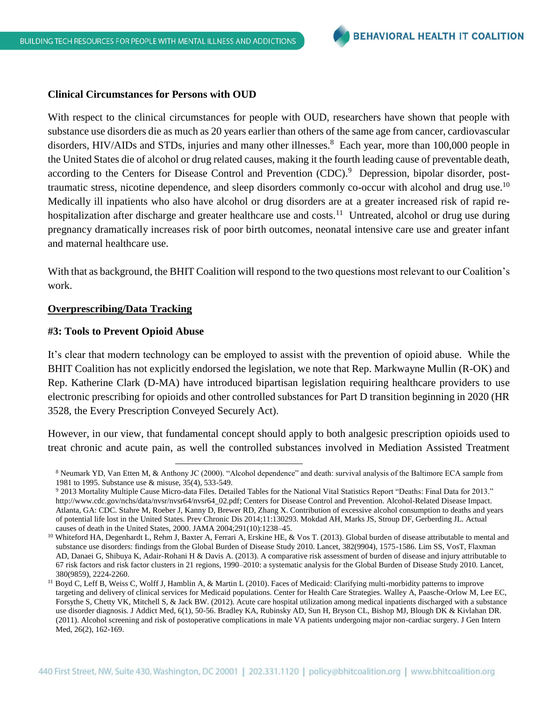#### **Clinical Circumstances for Persons with OUD**

With respect to the clinical circumstances for people with OUD, researchers have shown that people with substance use disorders die as much as 20 years earlier than others of the same age from cancer, cardiovascular disorders, HIV/AIDs and STDs, injuries and many other illnesses.<sup>8</sup> Each year, more than 100,000 people in the United States die of alcohol or drug related causes, making it the fourth leading cause of preventable death, according to the Centers for Disease Control and Prevention (CDC).<sup>9</sup> Depression, bipolar disorder, posttraumatic stress, nicotine dependence, and sleep disorders commonly co-occur with alcohol and drug use.<sup>10</sup> Medically ill inpatients who also have alcohol or drug disorders are at a greater increased risk of rapid rehospitalization after discharge and greater healthcare use and costs.<sup>11</sup> Untreated, alcohol or drug use during pregnancy dramatically increases risk of poor birth outcomes, neonatal intensive care use and greater infant and maternal healthcare use.

With that as background, the BHIT Coalition will respond to the two questions most relevant to our Coalition's work.

# **Overprescribing/Data Tracking**

### **#3: Tools to Prevent Opioid Abuse**

l

It's clear that modern technology can be employed to assist with the prevention of opioid abuse. While the BHIT Coalition has not explicitly endorsed the legislation, we note that Rep. Markwayne Mullin (R-OK) and Rep. Katherine Clark (D-MA) have introduced bipartisan legislation requiring healthcare providers to use electronic prescribing for opioids and other controlled substances for Part D transition beginning in 2020 (HR 3528, the Every Prescription Conveyed Securely Act).

However, in our view, that fundamental concept should apply to both analgesic prescription opioids used to treat chronic and acute pain, as well the controlled substances involved in Mediation Assisted Treatment

<sup>8</sup> Neumark YD, Van Etten M, & Anthony JC (2000). "Alcohol dependence" and death: survival analysis of the Baltimore ECA sample from 1981 to 1995. Substance use & misuse, 35(4), 533-549.

<sup>9</sup> 2013 Mortality Multiple Cause Micro-data Files. Detailed Tables for the National Vital Statistics Report "Deaths: Final Data for 2013." [http://www.cdc.gov/nchs/data/nvsr/nvsr64/nvsr64\\_02.pdf;](http://www.cdc.gov/nchs/data/nvsr/nvsr64/nvsr64_02.pdf) Centers for Disease Control and Prevention. Alcohol-Related Disease Impact. Atlanta, GA: CDC. Stahre M, Roeber J, Kanny D, Brewer RD, Zhang X. Contribution of excessive alcohol consumption to deaths and years of potential life lost in the United States. Prev Chronic Dis 2014;11:130293. Mokdad AH, Marks JS, Stroup DF, Gerberding JL. Actual causes of death in the United States, 2000. JAMA 2004;291(10):1238–45.

<sup>&</sup>lt;sup>10</sup> Whiteford HA, Degenhardt L, Rehm J, Baxter A, Ferrari A, Erskine HE, & Vos T. (2013). Global burden of disease attributable to mental and substance use disorders: findings from the Global Burden of Disease Study 2010. Lancet, 382(9904), 1575-1586. Lim SS, VosT, Flaxman AD, Danaei G, Shibuya K, Adair-Rohani H & Davis A. (2013). A comparative risk assessment of burden of disease and injury attributable to 67 risk factors and risk factor clusters in 21 regions, 1990–2010: a systematic analysis for the Global Burden of Disease Study 2010. Lancet, 380(9859), 2224-2260.

<sup>&</sup>lt;sup>11</sup> Boyd C, Leff B, Weiss C, Wolff J, Hamblin A, & Martin L (2010). Faces of Medicaid: Clarifying multi-morbidity patterns to improve targeting and delivery of clinical services for Medicaid populations. Center for Health Care Strategies. Walley A, Paasche-Orlow M, Lee EC, Forsythe S, Chetty VK, Mitchell S, & Jack BW. (2012). Acute care hospital utilization among medical inpatients discharged with a substance use disorder diagnosis. J Addict Med, 6(1), 50-56. Bradley KA, Rubinsky AD, Sun H, Bryson CL, Bishop MJ, Blough DK & Kivlahan DR. (2011). Alcohol screening and risk of postoperative complications in male VA patients undergoing major non-cardiac surgery. J Gen Intern Med, 26(2), 162-169.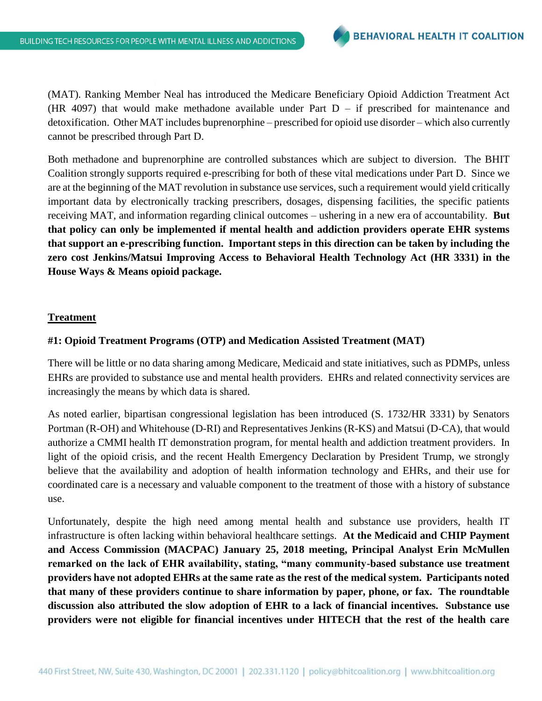(MAT). Ranking Member Neal has introduced the Medicare Beneficiary Opioid Addiction Treatment Act (HR 4097) that would make methadone available under Part  $D - if$  prescribed for maintenance and detoxification. Other MAT includes buprenorphine – prescribed for opioid use disorder – which also currently cannot be prescribed through Part D.

Both methadone and buprenorphine are controlled substances which are subject to diversion. The BHIT Coalition strongly supports required e-prescribing for both of these vital medications under Part D. Since we are at the beginning of the MAT revolution in substance use services, such a requirement would yield critically important data by electronically tracking prescribers, dosages, dispensing facilities, the specific patients receiving MAT, and information regarding clinical outcomes – ushering in a new era of accountability. **But that policy can only be implemented if mental health and addiction providers operate EHR systems that support an e-prescribing function. Important steps in this direction can be taken by including the zero cost Jenkins/Matsui Improving Access to Behavioral Health Technology Act (HR 3331) in the House Ways & Means opioid package.**

## **Treatment**

## **#1: Opioid Treatment Programs (OTP) and Medication Assisted Treatment (MAT)**

There will be little or no data sharing among Medicare, Medicaid and state initiatives, such as PDMPs, unless EHRs are provided to substance use and mental health providers. EHRs and related connectivity services are increasingly the means by which data is shared.

As noted earlier, bipartisan congressional legislation has been introduced (S. 1732/HR 3331) by Senators Portman (R-OH) and Whitehouse (D-RI) and Representatives Jenkins (R-KS) and Matsui (D-CA), that would authorize a CMMI health IT demonstration program, for mental health and addiction treatment providers. In light of the opioid crisis, and the recent Health Emergency Declaration by President Trump, we strongly believe that the availability and adoption of health information technology and EHRs, and their use for coordinated care is a necessary and valuable component to the treatment of those with a history of substance use.

Unfortunately, despite the high need among mental health and substance use providers, health IT infrastructure is often lacking within behavioral healthcare settings. **At the Medicaid and CHIP Payment and Access Commission (MACPAC) January 25, 2018 meeting, Principal Analyst Erin McMullen remarked on the lack of EHR availability, stating, "many community-based substance use treatment providers have not adopted EHRs at the same rate as the rest of the medical system. Participants noted that many of these providers continue to share information by paper, phone, or fax. The roundtable discussion also attributed the slow adoption of EHR to a lack of financial incentives. Substance use providers were not eligible for financial incentives under HITECH that the rest of the health care**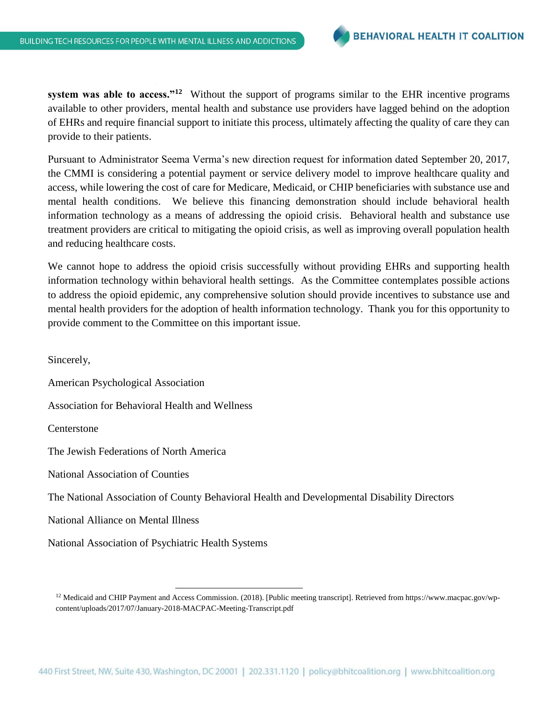**system was able to access."<sup>12</sup>** Without the support of programs similar to the EHR incentive programs available to other providers, mental health and substance use providers have lagged behind on the adoption of EHRs and require financial support to initiate this process, ultimately affecting the quality of care they can provide to their patients.

Pursuant to Administrator Seema Verma's new direction request for information dated September 20, 2017, the CMMI is considering a potential payment or service delivery model to improve healthcare quality and access, while lowering the cost of care for Medicare, Medicaid, or CHIP beneficiaries with substance use and mental health conditions. We believe this financing demonstration should include behavioral health information technology as a means of addressing the opioid crisis. Behavioral health and substance use treatment providers are critical to mitigating the opioid crisis, as well as improving overall population health and reducing healthcare costs.

We cannot hope to address the opioid crisis successfully without providing EHRs and supporting health information technology within behavioral health settings. As the Committee contemplates possible actions to address the opioid epidemic, any comprehensive solution should provide incentives to substance use and mental health providers for the adoption of health information technology. Thank you for this opportunity to provide comment to the Committee on this important issue.

Sincerely,

American Psychological Association

Association for Behavioral Health and Wellness

Centerstone

The Jewish Federations of North America

National Association of Counties

The National Association of County Behavioral Health and Developmental Disability Directors

National Alliance on Mental Illness

National Association of Psychiatric Health Systems

 $\overline{\phantom{a}}$ 

<sup>&</sup>lt;sup>12</sup> Medicaid and CHIP Payment and Access Commission. (2018). [Public meeting transcript]. Retrieved from https://www.macpac.gov/wpcontent/uploads/2017/07/January-2018-MACPAC-Meeting-Transcript.pdf